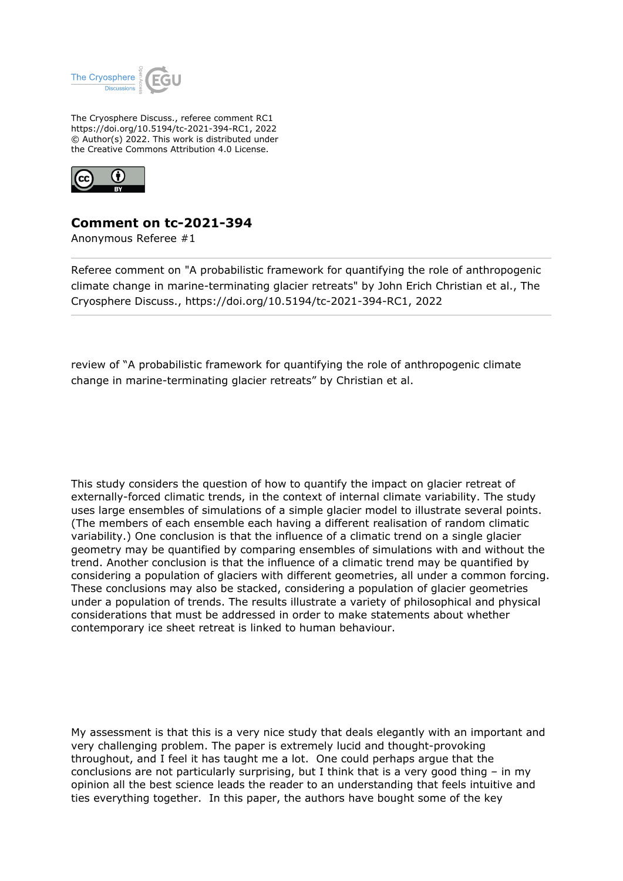

The Cryosphere Discuss., referee comment RC1 https://doi.org/10.5194/tc-2021-394-RC1, 2022 © Author(s) 2022. This work is distributed under the Creative Commons Attribution 4.0 License.



## **Comment on tc-2021-394**

Anonymous Referee #1

Referee comment on "A probabilistic framework for quantifying the role of anthropogenic climate change in marine-terminating glacier retreats" by John Erich Christian et al., The Cryosphere Discuss., https://doi.org/10.5194/tc-2021-394-RC1, 2022

review of "A probabilistic framework for quantifying the role of anthropogenic climate change in marine-terminating glacier retreats" by Christian et al.

This study considers the question of how to quantify the impact on glacier retreat of externally-forced climatic trends, in the context of internal climate variability. The study uses large ensembles of simulations of a simple glacier model to illustrate several points. (The members of each ensemble each having a different realisation of random climatic variability.) One conclusion is that the influence of a climatic trend on a single glacier geometry may be quantified by comparing ensembles of simulations with and without the trend. Another conclusion is that the influence of a climatic trend may be quantified by considering a population of glaciers with different geometries, all under a common forcing. These conclusions may also be stacked, considering a population of glacier geometries under a population of trends. The results illustrate a variety of philosophical and physical considerations that must be addressed in order to make statements about whether contemporary ice sheet retreat is linked to human behaviour.

My assessment is that this is a very nice study that deals elegantly with an important and very challenging problem. The paper is extremely lucid and thought-provoking throughout, and I feel it has taught me a lot. One could perhaps argue that the conclusions are not particularly surprising, but I think that is a very good thing – in my opinion all the best science leads the reader to an understanding that feels intuitive and ties everything together. In this paper, the authors have bought some of the key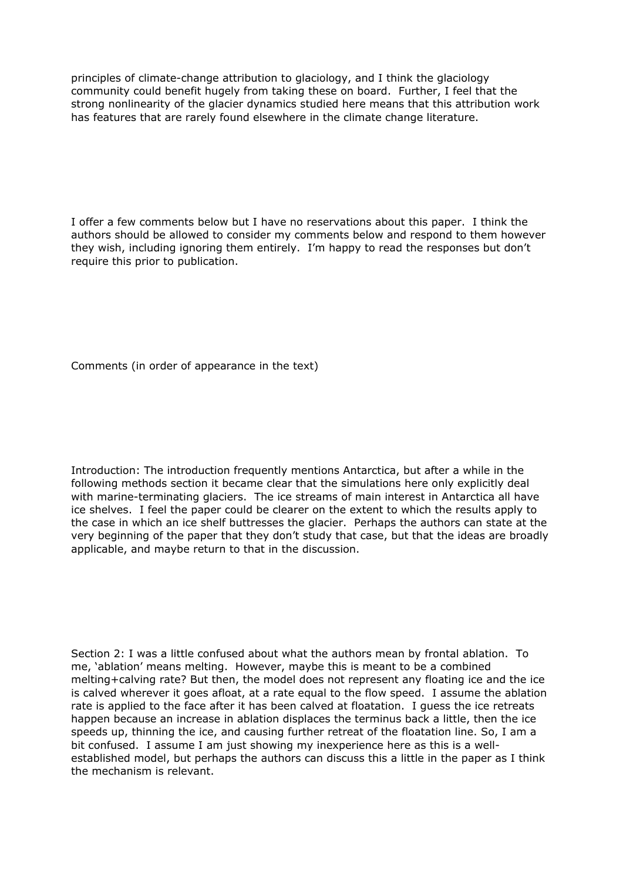principles of climate-change attribution to glaciology, and I think the glaciology community could benefit hugely from taking these on board. Further, I feel that the strong nonlinearity of the glacier dynamics studied here means that this attribution work has features that are rarely found elsewhere in the climate change literature.

I offer a few comments below but I have no reservations about this paper. I think the authors should be allowed to consider my comments below and respond to them however they wish, including ignoring them entirely. I'm happy to read the responses but don't require this prior to publication.

Comments (in order of appearance in the text)

Introduction: The introduction frequently mentions Antarctica, but after a while in the following methods section it became clear that the simulations here only explicitly deal with marine-terminating glaciers. The ice streams of main interest in Antarctica all have ice shelves. I feel the paper could be clearer on the extent to which the results apply to the case in which an ice shelf buttresses the glacier. Perhaps the authors can state at the very beginning of the paper that they don't study that case, but that the ideas are broadly applicable, and maybe return to that in the discussion.

Section 2: I was a little confused about what the authors mean by frontal ablation. To me, 'ablation' means melting. However, maybe this is meant to be a combined melting+calving rate? But then, the model does not represent any floating ice and the ice is calved wherever it goes afloat, at a rate equal to the flow speed. I assume the ablation rate is applied to the face after it has been calved at floatation. I guess the ice retreats happen because an increase in ablation displaces the terminus back a little, then the ice speeds up, thinning the ice, and causing further retreat of the floatation line. So, I am a bit confused. I assume I am just showing my inexperience here as this is a wellestablished model, but perhaps the authors can discuss this a little in the paper as I think the mechanism is relevant.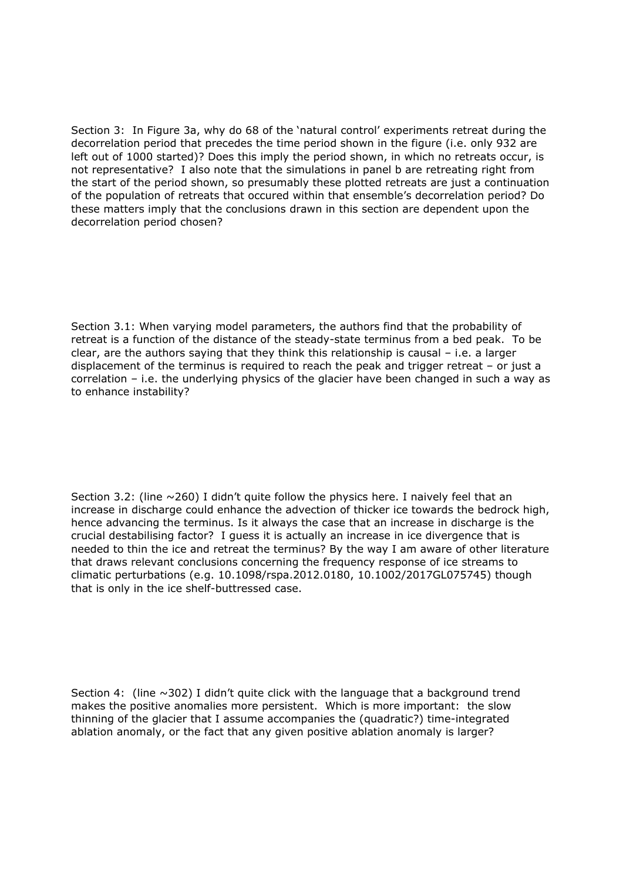Section 3: In Figure 3a, why do 68 of the 'natural control' experiments retreat during the decorrelation period that precedes the time period shown in the figure (i.e. only 932 are left out of 1000 started)? Does this imply the period shown, in which no retreats occur, is not representative? I also note that the simulations in panel b are retreating right from the start of the period shown, so presumably these plotted retreats are just a continuation of the population of retreats that occured within that ensemble's decorrelation period? Do these matters imply that the conclusions drawn in this section are dependent upon the decorrelation period chosen?

Section 3.1: When varying model parameters, the authors find that the probability of retreat is a function of the distance of the steady-state terminus from a bed peak. To be clear, are the authors saying that they think this relationship is causal – i.e. a larger displacement of the terminus is required to reach the peak and trigger retreat – or just a correlation – i.e. the underlying physics of the glacier have been changed in such a way as to enhance instability?

Section 3.2: (line  $\sim$  260) I didn't quite follow the physics here. I naively feel that an increase in discharge could enhance the advection of thicker ice towards the bedrock high, hence advancing the terminus. Is it always the case that an increase in discharge is the crucial destabilising factor? I guess it is actually an increase in ice divergence that is needed to thin the ice and retreat the terminus? By the way I am aware of other literature that draws relevant conclusions concerning the frequency response of ice streams to climatic perturbations (e.g. 10.1098/rspa.2012.0180, 10.1002/2017GL075745) though that is only in the ice shelf-buttressed case.

Section 4: (line  $\sim$  302) I didn't quite click with the language that a background trend makes the positive anomalies more persistent. Which is more important: the slow thinning of the glacier that I assume accompanies the (quadratic?) time-integrated ablation anomaly, or the fact that any given positive ablation anomaly is larger?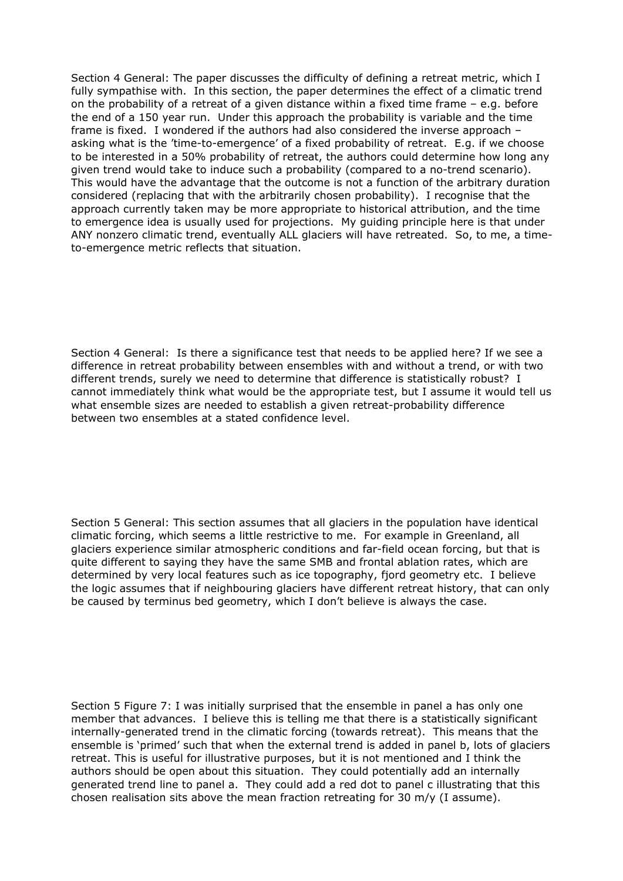Section 4 General: The paper discusses the difficulty of defining a retreat metric, which I fully sympathise with. In this section, the paper determines the effect of a climatic trend on the probability of a retreat of a given distance within a fixed time frame – e.g. before the end of a 150 year run. Under this approach the probability is variable and the time frame is fixed. I wondered if the authors had also considered the inverse approach – asking what is the 'time-to-emergence' of a fixed probability of retreat. E.g. if we choose to be interested in a 50% probability of retreat, the authors could determine how long any given trend would take to induce such a probability (compared to a no-trend scenario). This would have the advantage that the outcome is not a function of the arbitrary duration considered (replacing that with the arbitrarily chosen probability). I recognise that the approach currently taken may be more appropriate to historical attribution, and the time to emergence idea is usually used for projections. My guiding principle here is that under ANY nonzero climatic trend, eventually ALL glaciers will have retreated. So, to me, a timeto-emergence metric reflects that situation.

Section 4 General: Is there a significance test that needs to be applied here? If we see a difference in retreat probability between ensembles with and without a trend, or with two different trends, surely we need to determine that difference is statistically robust? I cannot immediately think what would be the appropriate test, but I assume it would tell us what ensemble sizes are needed to establish a given retreat-probability difference between two ensembles at a stated confidence level.

Section 5 General: This section assumes that all glaciers in the population have identical climatic forcing, which seems a little restrictive to me. For example in Greenland, all glaciers experience similar atmospheric conditions and far-field ocean forcing, but that is quite different to saying they have the same SMB and frontal ablation rates, which are determined by very local features such as ice topography, fjord geometry etc. I believe the logic assumes that if neighbouring glaciers have different retreat history, that can only be caused by terminus bed geometry, which I don't believe is always the case.

Section 5 Figure 7: I was initially surprised that the ensemble in panel a has only one member that advances. I believe this is telling me that there is a statistically significant internally-generated trend in the climatic forcing (towards retreat). This means that the ensemble is 'primed' such that when the external trend is added in panel b, lots of glaciers retreat. This is useful for illustrative purposes, but it is not mentioned and I think the authors should be open about this situation. They could potentially add an internally generated trend line to panel a. They could add a red dot to panel c illustrating that this chosen realisation sits above the mean fraction retreating for 30 m/y (I assume).